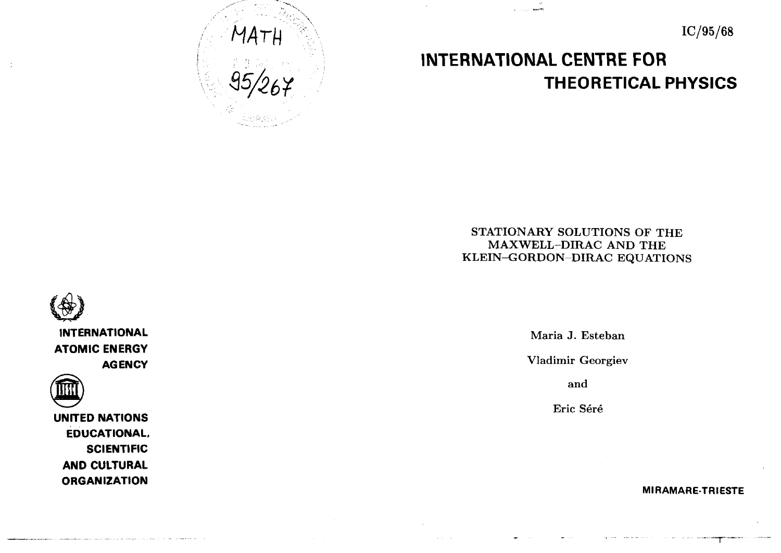

# IC/95/68

# **INTERNATIONAL CENTRE FOR THEORETICAL PHYSICS**

STATIONARY SOLUTIONS OF THE MAXWELL-DIRAC AND THE KLEIN-GORDON-DIRAC EQUATIONS



**INTERNATIONAL ATOMIC ENERGY AGENCY**



**UNITED NATIONS EDUCATIONAL, SCIENTIFIC AND CULTURAL ORGANIZATION**

Maria J. Esteban

Vladimir Georgiev

and

Eric Séré

**MIRAMARE-TRIESTE**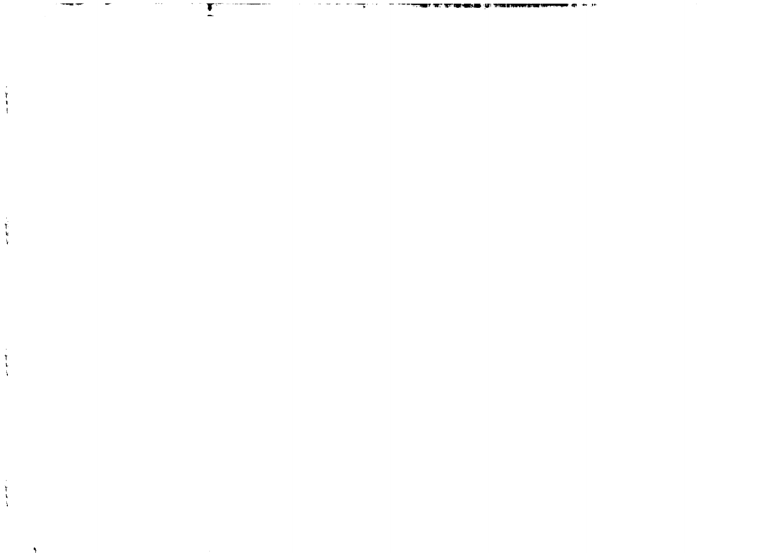

-5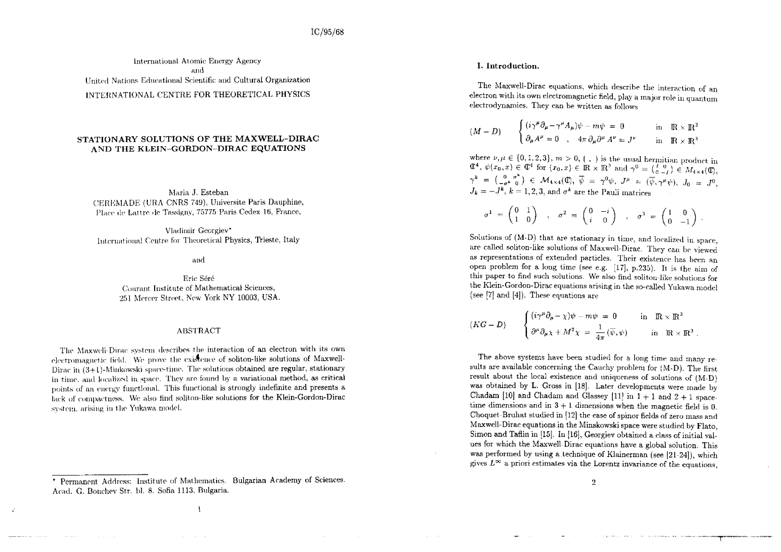International Atomic Energy Agency and United Nations Educational Scientific and Cultural Organization INTERNATIONAL CENTRE FOR THEORETICAL PHYSICS

# **STATIONARY SOLUTIONS OF THE MAXWELL-DIRAC AND THE KLEIN-GORDON-DIRAC EQUATIONS**

Maria J. Esteban CERKMADE (URA CNRS 749), Universite Paris Dauphine, Place de Lattre de Tassigny, 75775 Paris Cedex 16, France,

Vladimir Georgiev\* International Centre for Theoretical Physics, Trieste, Italy

and

Eric Séré Conrant Institute of Mathematical Sciences, 251 Mercer Street, New York NY 10003, USA.

#### ABSTRACT

The Maxwell-Dirae system describes the interaction of an electron with its own electromagnetic field. We prove the existence of soliton-like solutions of Maxwell-Dirac in (3+L)-Minkowski space-time. The solutions obtained are regular, stationary in time, and localized in space. They are found by a variational method, as critical points of an energy functional. This functional is strongly indefinite and presents a lack of compactness. We also find soliton-like solutions for the Klein-Gordon-Dirac system, arising in the Yukawa model.

#### **I. Introduction.**

The Maxwell-Dirac equations, which describe the interaction of an electron with its own electromagnetic field, play a major role in quantum electrodynamics. They can be written as follows

$$
(M - D) \qquad \begin{cases} (i\gamma^{\mu}\partial_{\mu} - \gamma^{\mu}A_{\mu})\psi - m\psi = 0 & \text{in} \quad \mathbb{R} \times \mathbb{R}^{3} \\ \partial_{\mu}A^{\mu} = 0 \quad , \quad 4\pi \partial_{\mu}\partial^{\mu}A^{\nu} = J^{\nu} & \text{in} \quad \mathbb{R} \times \mathbb{R}^{3} \end{cases}
$$

where  $\nu,\mu \in \{0,1,2,3\},\,m>0,$  (, ) is the usual hermitian product in  $\mathbb{C}^4$ ,  $\psi(x_0, x) \in \mathbb{C}^4$  for  $(x_0, x) \in \mathbb{R} \times \mathbb{R}^3$  and  $\gamma^0 = {l \atop 0 \le l \le 1 \atop 0 \le l \le 4}$   $\phi(x_0, x_0)$  $\gamma^k = \left( \begin{array}{cc} 0 & \sigma^k \\ -\sigma^k & 0 \end{array} \right) \in \mathcal{M}_{4 \times 4}(\mathbb{C}), \; \overline{\psi} = \gamma^0 \psi, \; J^\mu = (\overline{\psi}, \gamma^\mu \psi), \; J_0 = J^0,$  $J_k = -J^k, k = 1,2,3,$  and  $\sigma^k$  are the Pauli matrices

$$
\sigma^1 = \begin{pmatrix} 0 & 1 \\ 1 & 0 \end{pmatrix} , \quad \sigma^2 = \begin{pmatrix} 0 & -i \\ i & 0 \end{pmatrix} , \quad \sigma^3 = \begin{pmatrix} 1 & 0 \\ 0 & -1 \end{pmatrix} .
$$

Solutions of (M-D) that are stationary in time, and localized in space, are called soliton-like solutions of Maxwell-Dirac. They can be viewed as representations of extended particles. Their existence has been an open problem for a long time (see e.g. [17], p.235). It is the aim of this paper to find such solutions. We also find soliton-like solutions for the Klein-Gordon-Dirac equations arising in the so-called Yukawa model (see [7] and [4]). These equations are

$$
(KG-D) \qquad \begin{cases} (i\gamma^{\mu}\partial_{\mu}-\chi)\psi-m\psi\ =\ 0 & \text{in}\quad \mathbb{R}\times\mathbb{R}^{3} \\ \partial^{\mu}\partial_{\mu}\chi+M^{2}\chi\ =\ \frac{1}{4\pi}\,(\overline{\psi},\psi) & \text{in}\quad \mathbb{R}\times\mathbb{R}^{3} \, . \end{cases}
$$

The above systems have been studied for a long time and many results are available concerning the Cauchy problem for (M-D). The first result about the local existence and uniqueness of solutions of  $(M-D)$ was obtained by L. Gross in [18]. Later developments were made by Chadam [10] and Chadam and Glassey [11] in  $1 + 1$  and  $2 + 1$  spacetime dimensions and in  $3 + 1$  dimensions when the magnetic field is 0. Choquet-Bruhat studied in [12] the case of spinor fields of zero mass and Maxwell-Dirac equations in the Minskowski space were studied by Flato, Simon and Taflin in [15]. In [16], Georgiev obtained a class of initial values for which the Maxwell-Dirac equations have a global solution, This was performed by using a.technique of Klainerman (see [21-24]), which gives  $L^{\infty}$  a priori estimates via the Lorentz invariance of the equations,

 $\sqrt{2}$ 

**Service** 

<sup>\*</sup> Permanent Address: Institute of Mathematics. Bulgarian Academy of Sciences. Acad. G. Bonchev Str. bl. 8. Sofia 1113, Bulgaria.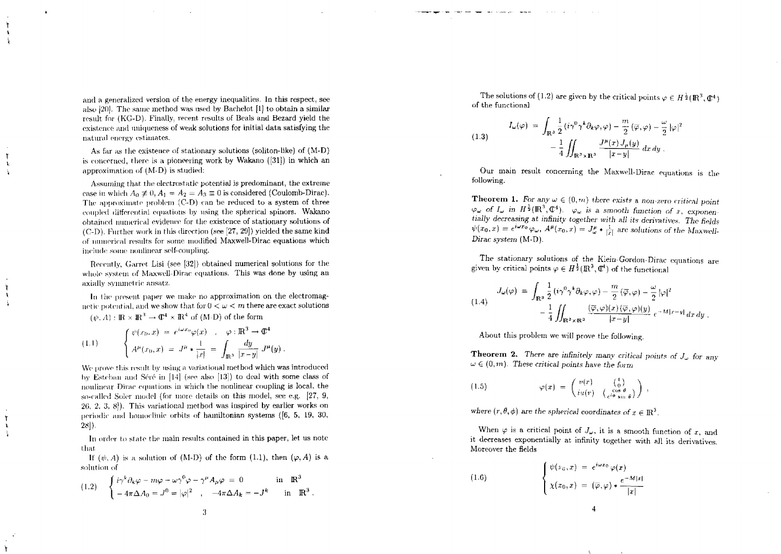and a generalized version of the energy inequalities. In this respect, see also  $[20]$ . The same method was used by Bachelot  $[1]$  to obtain a similar result for (KG-D). Finally, recent results of Beals and Bezard yield the existenc e an d uniquenes s of weak solution s for initia l dat a satisfyin g th e natura l energ y estimates .

 $\bullet$ 

 $\mathbf b$ 

A s far a s th e existenc e of stationar y solution s (soliton-like ) of (M-D ) is concerned, there is a pioneering work by Wakano  $([31])$  in which an approximatio n of (M-D ) i s studied :

Assuming that the electrostatic potential is predominant, the extreme case in which  $A_0 \neq 0$ ,  $A_1 = A_2 = A_3 \equiv 0$  is considered (Coulomb-Dirac). The approximate problem (C-D) can be reduced to a system of three couple d differentia l equation s by usin g th e spherica l spinors . Wakan o obtaine d numerica l evidenc e for th e existenc e of stationar y solution s of (C-D) . Furthe r work i n thi s directio n (se e [27 , 20] ) yielde d th e sam e kin d of numerica l result s for som e modifie d Maxwell-Dira c equation s whic h includ e .some nonlinea r self-coupling .

Recently, Garret Lisi (see [32]) obtained numerical solutions for the whol e syste m of Maxwdl-Dira c equations . Thi s wa s don e b y usin g a n axiall y symmetri c ansatz .

In the present paper we make no approximation on the electromagnetic potential, and we show that for  $0<\omega < m$  there are exact solutions

 $(\psi, A) : \mathbb{R} \times \mathbb{R}^3 \to \mathbb{C}^4 \times \mathbb{R}^4$  of (M-D) of the form

(1.1) 
$$
\begin{cases} \psi(x_0, x) = e^{i\omega x_0} \varphi(x) & , \quad \varphi : \mathbb{R}^3 \to \mathbb{C}^4 \\ A^{\mu}(x_0, x) = J^{\mu} * \frac{1}{|x|} = \int_{\mathbb{R}^3} \frac{dy}{|x - y|} J^{\mu}(y) \end{cases}
$$

We prove this result by using a variational method which was introduced by Esteban and Séré in [14] (see also [13]) to deal with some class of nonlinea r Dim e equation s i n whic h th e nonlinea r couplin g i s local , th e so-calle d Sole r mode l (for mor e detail s o n thi s model , se e e.g . [27 , 9 , 26, 2, 3, 8). This variational method was inspired by earlier works on periodi c an d homoclini c orbit s of hamiltonia n system s ([6 , 5 , 19 , 30 , 28]) .

In order to state the main results contained in this paper, let us note tha

If  $(\psi, A)$  is a solution of (M-D) of the form (1.1), then  $(\varphi, A)$  is a solutio n of

(1.2) 
$$
\begin{cases} i\gamma^k\partial_k\varphi - m\varphi - \omega\gamma^0\varphi - \gamma^\mu A_\mu\varphi = 0 & \text{in }\mathbb{R}^3\\ -4\pi\Delta A_0 = J^0 = |\varphi|^2, & -4\pi\Delta A_k = -J^k & \text{in }\mathbb{R}^3. \end{cases}
$$

The solutions of (1.2) are given by the critical points  $\varphi \in H^{\frac{1}{2}}(\mathbb{R}^3, \mathbb{C}^4)$ of th e functiona l

(1.3) 
$$
I_{\omega}(\varphi) = \int_{\mathbb{R}^3} \frac{1}{2} (i\gamma^0 \gamma^k \partial_k \varphi, \varphi) - \frac{m}{2} (\overline{\varphi}, \varphi) - \frac{\omega}{2} |\varphi|^2 - \frac{1}{4} \iint_{\mathbb{R}^3 \times \mathbb{R}^3} \frac{J^{\mu}(x) J_{\mu}(y)}{|x - y|} dx dy.
$$

Ou r mai n resul t concernin g th e Maxwell-Dira c equation s i s th e following .

Theorem 1. For any  $\omega \in (0, m)$  there exists a non-zero critical point  $\varphi_{\omega}$  of  $I_{\omega}$  in  $H^{\frac{1}{2}}(\mathbb{R}^3, \mathbb{C}^4)$ ,  $\varphi_{\omega}$  is a smooth function of x, exponen*tially decreasing at infinity together with all its* derivatives. *The fields*  $\psi(x_0, x) = e^{i\omega x_0} \varphi_\omega$ ,  $A^\mu(x_0, x) = J^{\mu}_{\omega} * \frac{1}{|x|}$  are solutions of the Maxwell-*Dirac system* (M-D).

The stationary solutions of the Klein-Gordon-Dirac equations are given by critical points  $\varphi \in H^{\frac{1}{2}}(\mathbb{R}^3, \mathbb{C}^4)$  of the functional

$$
(1.4) \quad J_{\omega}(\varphi) = \int_{\mathbb{R}^3} \frac{1}{2} \left( i \gamma^0 \gamma^k \partial_k \varphi, \varphi \right) - \frac{m}{2} \left( \overline{\varphi}, \varphi \right) - \frac{\omega}{2} |\varphi|^2 \\ - \frac{1}{4} \iint_{\mathbb{R}^3 \times \mathbb{R}^3} \frac{\left( \overline{\varphi}, \varphi \right)(x) \left( \overline{\varphi}, \varphi \right)(y)}{|x - y|} e^{-M|x - y|} dx dy.
$$

Abou t thi s proble m we wil l prov e th e following .

**Theore m 2 .** *There* ar e *infinitely many critical points of Ju for* an y  $\omega \in (0,m).$  These critical points have the form

(1.5) 
$$
\varphi(x) = \begin{pmatrix} v(r) & \begin{pmatrix} 1 \\ 0 \end{pmatrix} \\ i u(r) & \begin{pmatrix} \cos \theta \\ e^{i\phi} \sin \theta \end{pmatrix} \end{pmatrix},
$$

*where*  $(r, \theta, \phi)$  are the spherical coordinates of  $x \in \mathbb{R}^3$ .

When  $\varphi$  is a critical point of  $J_{\omega}$ , it is a smooth function of x, and it decreases exponentially at infinity together with all its derivatives. Moreove r th e fields

 $\overline{4}$ 

(1.6) 
$$
\begin{cases} \psi(x_0, x) = e^{i\omega x_0} \varphi(x) \\ \chi(x_0, x) = (\overline{\varphi}, \varphi) * \frac{e^{-M|x|}}{|x|} \end{cases}
$$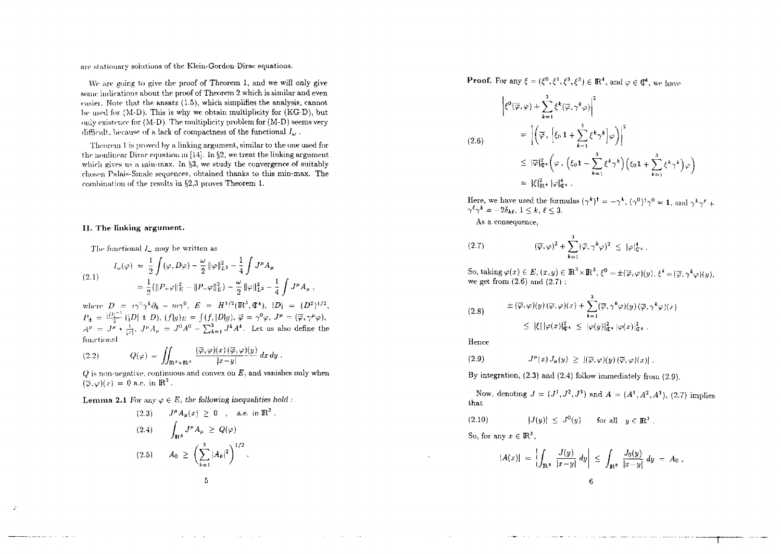arc stationary solutions of the Klein-Gordon-Dirac equations.

We arc going to give the proof of Theorem 1, and we will only give some indications about the proof of Theorem 2 which is similar and even easier. Note that the ansatz (1-5), which simplifies the analysis, cannot be used for  $(M-D)$ . This is why we obtain multiplicity for  $(KG-D)$ , but only existence for (M-D). The multiplicity problem for (M-D) seems very difficult, because of a lack of compactness of the functional  $L_{\nu}$ .

Theorem 1 is proved by a linking argument, similar to the one used for the nonlinear Dirac equation in [14]. In §2, we treat the linking argument which gives us a min-max. In §3, we study the convergence of suitably chosen Palais-Smalc sequences, obtained thanks to this min-max. The combination of the results in §2,3 proves Theorem 1.

#### **II.** The **linking** argument.

 $\mathcal{L}^{\text{L}}$ 

The functional  $I_{\omega}$  may be written as

 $I_\omega(\varphi) \approx \frac{1}{2}\int (\varphi, D\varphi) - \frac{\omega}{2} \|\varphi\|_{L^2}^2 - \frac{1}{4}\int J^\mu A_\mu$ (2.1)  $= \frac{1}{2} \big( \| P_+ \varphi \|_E^2 - \| P_- \varphi \|_E^2 \big) - \frac{\omega}{2} \, \| \varphi \|_{L^2}^2 - \frac{1}{4} \, \int J^\mu A_\mu \ ,$ 

where  $D = r \gamma^0 \gamma^k \partial_k - m \gamma^0$ ,  $E = H^{1/2}(\mathbb{R}^3, \mathbb{C}^4)$ ,  $|D| = (D^2)^{1/2}$ ,  $P_{\pm} = \frac{\mu \nu_{\pm}}{2}$  ( $|D| \pm D$ ), ( $f|g\rangle_E = \int (f,|D|g), \ \vec{\varphi} = \gamma^0 \varphi, \ J^{\mu} = (\overline{\varphi},\gamma^{\mu} \varphi),$  $A^{\mu} = J^{\mu} * \frac{1}{|I|}, J^{\mu}A_{\mu} = J^0A^0 - \sum_{k=1}^{3} J^kA^k.$  Let us also define the functional

(2.2) 
$$
Q(\varphi) = \iint_{\mathbb{R}^3 \times \mathbb{R}^3} \frac{(\overline{\varphi}, \varphi)(x) (\overline{\varphi}, \varphi)(y)}{|x - y|} dx dy.
$$

*Q* is non-negative, continuous and convex on *E,* and vanishes only when  $(\overline{\varphi},\varphi)(x) = 0$  a.c. in  $\mathbb{R}^3$ .

**Lemma** 2.1 For any  $\varphi \in E$ , the following inequalities hold :

(2.3) 
$$
J^{\mu}A_{\mu}(x) \ge 0
$$
, a.e. in  $\mathbb{R}^{3}$ .  
\n(2.4)  $\int_{\mathbb{R}^{3}} J^{\mu}A_{\mu} \ge Q(\varphi)$   
\n(2.5)  $A_{0} \ge \left(\sum_{k=1}^{3} |A_{k}|^{2}\right)^{1/2}$ .  
\n5

**Proof.** For any  $\xi = (\xi^0, \xi^1, \xi^3, \xi^3) \in \rm I\!R^4,$  and  $\varphi \in \rm I\!C^4,$  we have

$$
\begin{split} \left| \xi^{0}(\overline{\varphi},\varphi) + \sum_{k=1}^{3} \xi^{k}(\overline{\varphi},\gamma^{k}\varphi) \right|^{2} \\ = \left| \left( \overline{\varphi}, \left[ \xi_{0} \, 1 + \sum_{k=1}^{3} \xi^{k}\gamma^{k} \right] \varphi \right) \right|^{2} \\ \leq \|\overline{\varphi}\|_{\mathbb{G}^{4}}^{2} \left( \varphi, \left( \xi_{0} \, 1 - \sum_{k=1}^{3} \xi^{k}\gamma^{k} \right) \left( \xi_{0} \, 1 + \sum_{k=1}^{3} \xi^{k}\gamma^{k} \right) \varphi \right) \\ = \|\xi\|_{\mathbb{R}^{4}}^{2} \|\varphi\|_{\mathbb{G}^{4}}^{4} . \end{split}
$$

Here, we have used the formulas  $(\gamma^k)^\dagger = -\gamma^k,$   $(\gamma^0)^\dagger \gamma^0 = 1,$  and  $\gamma^k \gamma^\ell$  $\gamma^* \gamma^* = -2\delta_{k\ell},\ 1 \leq k,\ \ell \leq 3.$ 

As a consequence.

(2.7) 
$$
(\overline{\varphi}, \varphi)^2 + \sum_{k=1}^3 (\overline{\varphi}, \gamma^k \varphi)^2 \leq |\varphi|_{\mathbb{C}^4}^4.
$$

 ${\rm So, \, taking \,} \varphi(x) \in E, (x,y) \in {\rm I\!R}^3 {\times} {\rm I\!R}^3, \xi^0 = \pm (\overline{\varphi}, \varphi)(y), \, \xi^k = (\overline{\varphi}, \gamma^k \varphi)$ we get from  $(2.6)$  and  $(2.7)$  :

(2.8) 
$$
\pm (\overline{\varphi}, \varphi)(y) (\overline{\varphi}, \varphi)(x) + \sum_{k=1}^{3} (\overline{\varphi}, \gamma^{k} \varphi)(y) (\overline{\varphi}, \gamma^{k} \varphi)(x)
$$

$$
\leq |\xi| |\varphi(x)|_{\mathbb{Q}^{+}}^{2} \leq |\varphi(y)|_{\mathbb{Q}^{+}}^{2} |\varphi(x)|_{\mathbb{Q}^{+}}^{2}.
$$

Hence

(2.9) 
$$
J^{\mu}(x) J_{\mu}(y) \geq |(\overline{\varphi}, \varphi)(y) (\overline{\varphi}, \varphi)(x)|.
$$

By integration, (2.3) and (2.4) follow immediately from (2.9).

Now, denoting  $J = (J^1, J^2, J^3)$  and  $A = (A^1, A^2, A^3)$ , (2.7) implies that

(2.10) 
$$
|J(y)| \leq J^0(y)
$$
 for all  $y \in \mathbb{R}^3$ .

So, for any  $x \in \mathbb{R}^3$ ,

$$
|A(x)| = \left| \int_{\mathbb{R}^3} \frac{J(y)}{|x - y|} dy \right| \leq \int_{\mathbb{R}^3} \frac{J_0(y)}{|x - y|} dy = A_0.
$$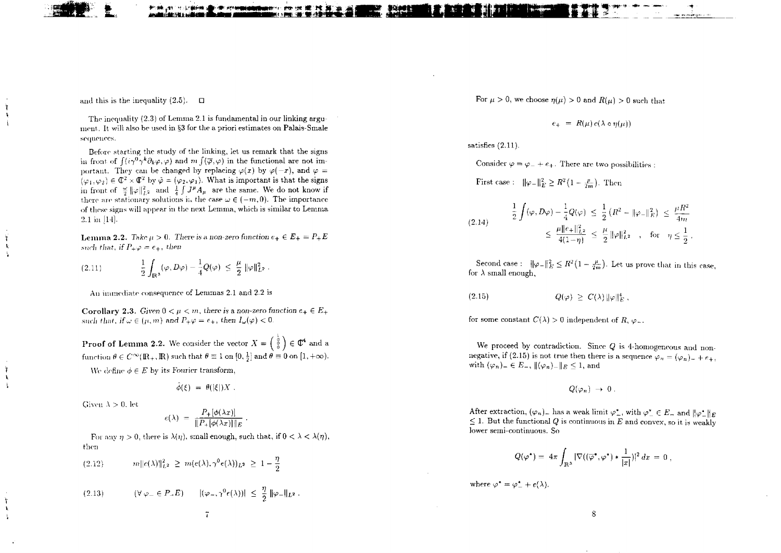and this is the inequality  $(2.5)$ .  $\Box$ 

The inequality  $(2.3)$  of Lemma 2.1 is fundamental in our linking argument. It will also be used in §3 for the a priori estimates on Palais-Smale sequences.

Before starting the study of the linking, let us remark that the signs in front of  $\int (i\gamma^0\gamma^k\partial_k\varphi,\varphi)$  and  $m\int (\overline{\varphi},\varphi)$  in the functional are not important. They can be changed by replacing  $\varphi(x)$  by  $\varphi(-x)$ , and  $\varphi =$  $(\varphi_1, \varphi_2) \in \mathbb{C}^2 \times \mathbb{C}^2$  by  $\varphi = (\varphi_2, \varphi_1)$ . What is important is that the signs in front of  $\frac{\omega}{2} \|\varphi\|_{L^2}^2$  and  $\frac{1}{4} \int J^{\mu} A_{\mu}$  are the same. We do not know if there are stationary solutions in the case  $\omega \in (-m,0)$ . The importance of these signs will appear in the next Lemma, which is similar to Lemma. 2.1 in [14].

**Lemma 2.2.** Take  $\mu > 0$ . There is a non-zero function  $e_+ \in E_+ = P_+E$ such that, if  $P_+ \varphi = e_+$ , then

(2.11)  $-\frac{1}{2}\int_{\mathbb{R}^3} (\varphi, D\varphi) - \frac{1}{4} Q(\varphi) \leq \frac{\mu}{2} {\|\varphi\|_{L^2}^2}$ .

An immediate consequence of Lemmas 2.1 and 2.2 is

**Corollary 2.3.** Given  $0 \leq \mu \leq m$ , there is a non-zero function  $e_+ \in E_+$ such that, if  $\omega \in (\mu, m)$  and  $P_+ \varphi = e_+$ , then  $I_{\omega}(\varphi) < 0$ .

**Proof of Lemma 2.2.** We consider the vector  $X = \begin{pmatrix} 0 \ 0 \end{pmatrix} \in \mathbb{C}^4$  and a function  $\theta \in C^{\infty}(\mathbb{R}_+,\mathbb{R})$  such that  $\theta \equiv 1$  on  $[0, \frac{1}{2}]$  and  $\theta \equiv 0$  on  $[1, +\infty)$ .

We define  $\phi \in E$  by its Fourier transform,

$$
\ddot{\phi}(\xi) = \theta(|\xi|)X.
$$

Given  $\lambda > 0$ , let

 $\mathbf{t}$ 

$$
e(\lambda) = \frac{P_+[\phi(\lambda x)]}{\|P_+[\phi(\lambda x)]\|_E}.
$$

For any  $\eta > 0$ , there is  $\lambda(\eta)$ , small enough, such that, if  $0 < \lambda < \lambda(\eta)$ , then

$$
(2.12) \t\t\t m||c(\lambda)||_{L^2}^2 \geq m(e(\lambda), \gamma^0 \epsilon(\lambda))_{L^2} \geq 1 - \frac{\eta}{2}
$$

$$
(2.13) \qquad (\forall \varphi_- \in P_-E) \qquad |(\varphi_-, \gamma^0 \epsilon(\lambda))| \leq \frac{\eta}{2} \|\varphi_-\|_{L^2}.
$$

For  $\mu > 0$ , we choose  $\eta(\mu) > 0$  and  $R(\mu) > 0$  such that

$$
e_+ = R(\mu) e(\lambda \circ \eta(\mu))
$$

satisfies (2.11).

Consider  $\varphi = \varphi_- + e_+$ , There are two possibilities :

First case :  $\|\varphi_-\|_E^2 \geq R^2(1 - \frac{\mu}{2m})$ . Then

(2.14) 
$$
\frac{1}{2} \int (\varphi, D\varphi) - \frac{1}{4} Q(\varphi) \le \frac{1}{2} (R^2 - ||\varphi_||_E^2) \le \frac{\mu R^2}{4m}
$$

$$
\le \frac{\mu ||e_+||_{L^2}^2}{4(1-\eta)} \le \frac{\mu}{2} ||\varphi||_{L^2}^2, \quad \text{for} \quad \eta \le \frac{1}{2}
$$

Second case :  $\|\varphi_-\|_E^2 \leq R^2 \big(1 - \frac{\mu}{2m}\big)$ . Let us prove that in this case, for  $\lambda$  small enough,

$$
(2.15) \tQ(\varphi) \geq C(\lambda) \|\varphi\|_{E}^4,
$$

for some constant  $C(\lambda) > 0$  independent of R,  $\varphi_{\pm}$ .

We proceed by contradiction. Since *Q* is 4-homogeneous and nonnegative, if (2.15) is not true then there is a sequence  $\varphi_n = (\varphi_n)_+ + e_+$ , with  $(\varphi_n)_{-} \in E_{-}$ ,  $\|(\varphi_n)_{-}\|_{E} \leq 1$ , and

 $Q(\varphi_n) \rightarrow 0$ .

After extraction,  $(\varphi_n)_+$  has a weak limit  $\varphi^*$ , with  $\varphi^* \in E_+$  and  $\|\varphi^*\|_E$  $\leq$  1. But the functional Q is continuous in E and convex, so it is weakly lower semi-continuous. So

$$
Q(\varphi^*) = 4\pi \int_{\mathbb{R}^3} |\nabla ((\overline{\varphi}^*, \varphi^*) * \frac{1}{|x|})|^2 dx = 0,
$$

where  $\varphi^* = \varphi^*_- + e(\lambda)$ ,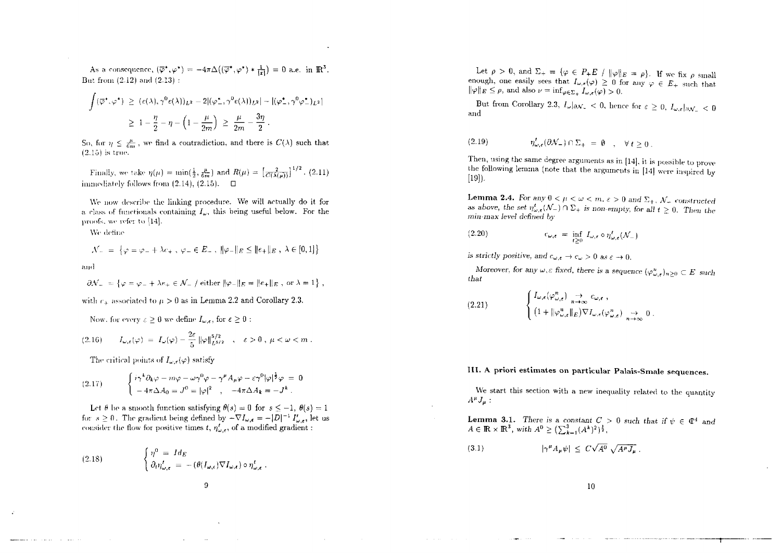As a consequence,  $(\overline{\varphi}^*,\varphi^*) = -4\pi \Delta((\overline{\varphi}^*,\varphi^*) * \frac{1}{\ln}) = 0$  a.e. in  $\mathbb{R}^3$ But from  $(2.12)$  and  $(2.13)$ :

$$
\int (\overline{\varphi}^*, \varphi^*) \ge (c(\lambda), \gamma^0 c(\lambda))_{L^2} - 2[(\varphi^*, \gamma^0 e(\lambda))_{L^2}] - [(\varphi^*, \gamma^0 \varphi^*)_{L^2}]
$$
  

$$
\ge 1 - \frac{\eta}{2} - \eta - \left(1 - \frac{\mu}{2m}\right) \ge \frac{\mu}{2m} - \frac{3\eta}{2}.
$$

So, for  $\eta \leq \frac{\mu}{6m}$ , we find a contradiction, and there is  $C(\lambda)$  such that (2.15) is true.

Finally, we take  $\eta(\mu) = \min(\frac{1}{2}, \frac{\mu}{6m})$  and  $R(\mu) = \left[\frac{2}{C(\lambda(\mu))}\right]^{1/2}$ . (2.11) immediately follows from  $(2.14)$ ,  $(2.15)$ .  $\Box$ 

We now describe the linking procedure. We will actually do it for a class of functionals containing  $I_{\omega}$ , this being useful below. For the proofs, we refer to [14].

We define

and an interview of the company of

 $\mathcal{N}_{-} = \{ \varphi = \varphi_{-} + \lambda c_{+} , \varphi_{-} \in E_{-} , \| \varphi_{-} \|_{E} \leq \| \epsilon_{+} \|_{E} , \lambda \in [0,1] \}$ and

 $\partial \mathcal{N}_{-} = {\varphi = \varphi_{-} + \lambda e_{+} \in \mathcal{N}_{-}} /$  either  $\|\varphi_{-}\|_{E} = \|e_{+}\|_{E}$ , or  $\lambda = 1$ ,

with  $r_{+}$  associated to  $\mu > 0$  as in Lemma 2.2 and Corollary 2.3.

Now, for every  $\varepsilon \geq 0$  we define  $I_{\omega,\varepsilon}$ , for  $\varepsilon \geq 0$ :

$$
(2.16) \t I_{\omega,\epsilon}(\varphi) = I_{\omega}(\varphi) - \frac{2\epsilon}{5} ||\varphi||_{L^{3/2}}^{5/2}, \quad \epsilon > 0, \ \mu < \omega < m.
$$

The critical points of  $I_{\omega,\epsilon}(\varphi)$  satisfy

(2.17) 
$$
\begin{cases} i\gamma^k \partial_k \varphi - m\varphi - \omega \gamma^0 \varphi - \gamma^\mu A_\mu \varphi - \varepsilon \gamma^0 |\varphi|^{\frac{1}{2}} \varphi = 0 \\ -4\pi \Delta A_0 = J^0 = |\varphi|^2 , \quad -4\pi \Delta A_k = -J^k . \end{cases}
$$

Let  $\theta$  be a smooth function satisfying  $\theta(s) = 0$  for  $s \leq -1$ ,  $\theta(s) = 1$ for  $s \geq 0$ . The gradient being defined by  $-\nabla I_{\omega,\epsilon} = -|D|^{-1} I'_{\omega,\epsilon}$ , let us consider the flow for positive times  $t, \eta_{\omega,\epsilon}^t$ , of a modified gradient :

(2.18) 
$$
\begin{cases} \eta^0 = Id_E \\ \partial_t \eta'_{\omega,\epsilon} = - (\theta(I_{\omega,\epsilon}) \nabla I_{\omega,\epsilon}) \circ \eta'_{\omega,\epsilon} . \end{cases}
$$

Let  $\rho > 0$ , and  $\Sigma_+ = \{\varphi \in P_+ E / ||\varphi||_E = \rho\}$ . If we fix  $\rho$  small enough, one easily sees that  $I_{\omega,\epsilon}(\varphi) \geq 0$  for any  $\varphi \in E_+$  such that  $\|\varphi\|_E \leq \rho$ , and also  $\nu = \inf_{\varphi \in \Sigma_+} I_{\omega, \varepsilon}(\varphi) > 0.$ 

But from Corollary 2.3,  $I_{\omega}|_{\partial \mathcal{N}_+} < 0$ , hence for  $\varepsilon \geq 0$ ,  $I_{\omega,\varepsilon}|_{\partial \mathcal{N}_+} < 0$ and

$$
(2.19) \t \eta^t_{\omega,\epsilon}(\partial \mathcal{N}_-) \cap \Sigma_+ = \emptyset \t , \quad \forall t \geq 0.
$$

Then, using the same degree arguments as in [14], it is possible to prove the following lemma (note that the arguments in [14] were inspired by [19]).

**Lemma 2.4.** For any  $0 < \mu < \omega < m$ ,  $\varepsilon > 0$  and  $\Sigma_{+}$ ,  $\mathcal{N}_{+}$  constructed as above, the set  $\eta_{\omega,\epsilon}^t(\mathcal{N}_-) \cap \Sigma_+$  is non-empty, for all  $t \geq 0$ . Then the *min-max level defined by*

$$
c_{\omega,\epsilon} = \inf_{t \ge 0} I_{\omega,\epsilon} \circ \eta'_{\omega,\epsilon}(\mathcal{N}_-)
$$

*is strictly positive, and*  $c_{\omega,\epsilon} \to c_{\omega} > 0$  *as*  $\varepsilon \to 0$ *.* 

(

Moreover, for any  $\omega, \varepsilon$  fixed, there is a sequence  $(\varphi_{\omega,\varepsilon}^n)_{n\geq 0} \subset E$  such *that*

(2.21) 
$$
\begin{cases} I_{\omega,\epsilon}(\varphi_{\omega,\epsilon}^n) \underset{n\to\infty}{\to} c_{\omega,\epsilon} , \\ (1 + ||\varphi_{\omega,\epsilon}^n||_E) \nabla I_{\omega,\epsilon}(\varphi_{\omega,\epsilon}^n) \underset{n\to\infty}{\to} 0 . \end{cases}
$$

**III. A priori estimates on particular Palais-Smale sequences.**

We start this section with a new inequality related to the quantity  $A^{\mu}J_{\mu}$ :

**Lemma 3.1.** There is a constant  $C > 0$  such that if  $\psi \in \mathbb{C}^4$  and  $A \in \mathbb{R} \times \mathbb{R}^3$ , with  $A^0 \geq (\sum_{k=1}^3 (A^k)^2)^{\frac{1}{2}}$ ,

 $|\gamma^{\mu}A_{\mu}\psi| \leq C\sqrt{A^0}\sqrt{A^{\mu}J_{\mu}}$ . (3.1)

10

-9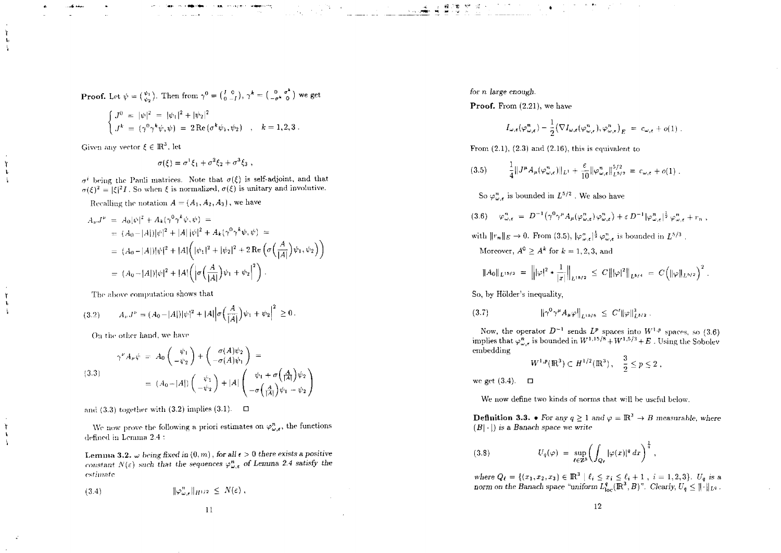**Proof.** Let 
$$
\psi = \begin{pmatrix} \psi_1 \\ \psi_2 \end{pmatrix}
$$
. Then from  $\gamma^0 = \begin{pmatrix} I & 0 \\ 0 & -I \end{pmatrix}$ ,  $\gamma^k = \begin{pmatrix} 0 & \sigma^k \\ -\sigma^k & 0 \end{pmatrix}$  we get

$$
\begin{cases}\nJ^0 = |\psi|^2 = |\psi_1|^2 + |\psi_2|^2 \\
J^k = (\gamma^0 \gamma^k \psi, \psi) = 2 \operatorname{Re} (\sigma^k \psi_1, \psi_2) , \quad k = 1, 2, 3 \, .\n\end{cases}
$$

Given any vector  $\xi \in {\rm I\!R}^3,$  let

ħ  $\mathbf{b}$  $\frac{1}{2}$ 

 $\mathbb {Y}$  $\Lambda$ 

> $\mathbf{t}$  $\mathbf{I}$

 $\pmb{\mathfrak{t}}$ 

$$
\sigma(\xi) = \sigma^1 \xi_1 + \sigma^2 \xi_2 + \sigma^3 \xi_3 ,
$$

 $\sigma^i$  being the Pauli matrices. Note that  $\sigma(\xi)$  is self-adjoint, and that  $\sigma(\xi)^2 = |\xi|^2 I$ . So when  $\xi$  is normalized,  $\sigma(\xi)$  is unitary and involutive.

Recalling the notation  $A = (A_1, A_2, A_3)$ , we have

$$
A_{\nu}J^{\nu} = A_0|\psi|^2 + A_k(\gamma^0\gamma^k\psi, \psi) =
$$
  
=  $(A_0 - |A|)|\psi|^2 + |A||\psi|^2 + A_k(\gamma^0\gamma^k\psi, \psi) =$   
=  $(A_0 - |A|)|\psi|^2 + |A|\left(|\psi_1|^2 + |\psi_2|^2 + 2 \operatorname{Re} \left(\sigma\left(\frac{A}{|A|}\right)\psi_1, \psi_2\right)\right)$   
=  $(A_0 - |A|)|\psi|^2 + |A|\left(|\sigma\left(\frac{A}{|A|}\right)\psi_1 + \psi_2|^2\right).$ 

The above computation shows that

$$
(3.2) \t A_{\nu}J^{\nu} = (A_0 - |A|)|\psi|^2 + |A|\Big|\sigma\Big(\frac{A}{|A|}\Big)\psi_1 + \psi_2\Big|^2 \ge 0.
$$

On the other hand, we have

$$
\gamma^{\nu} A_{\nu} \psi = A_0 \begin{pmatrix} \psi_1 \\ -\psi_2 \end{pmatrix} + \begin{pmatrix} \sigma(A) \psi_2 \\ -\sigma(A) \psi_1 \end{pmatrix} =
$$
  
(3.3)  

$$
= (A_0 + |A|) \begin{pmatrix} \psi_1 \\ -\psi_2 \end{pmatrix} + |A| \begin{pmatrix} \psi_1 + \sigma \begin{pmatrix} A \\ |A| \end{pmatrix} \psi_2 \\ -\sigma \begin{pmatrix} A \\ |A| \end{pmatrix} \psi_1 - \psi_2 \end{pmatrix}
$$

and (3.3) together with (3.2) implies (3.1).  $\Box$ 

We now prove the following a priori estimates on  $\varphi_{\omega,\epsilon}^n$ , the functions defined in Lemma 2.4 :

Lemma 3.2.  $\omega$  being fixed in  $(0, m)$ , for all  $\epsilon > 0$  there exists a positive *constant*  $N(\varepsilon)$  *such that the sequences*  $\varphi_{\omega,\varepsilon}^n$  *of Lemma 2.4 satisfy the cstiinatc.*

(3.4) < ^ (

11

#### for *n* large enough.

**Proof.** From (2.21), we have

$$
I_{\omega,\epsilon}(\varphi_{\omega,\epsilon}^n)-\frac{1}{2}(\nabla I_{\omega,\epsilon}(\varphi_{\omega,\epsilon}^n),\varphi_{\omega,\epsilon}^n)_{E} = c_{\omega,\epsilon}+o(1).
$$

From  $(2.1)$ ,  $(2.3)$  and  $(2.16)$ , this is equivalent to

(3.5) 
$$
\frac{1}{4}||J^{\mu}A_{\mu}(\varphi_{\omega,\epsilon}^{n})||_{L^{1}} + \frac{\varepsilon}{10}||\varphi_{\omega,\epsilon}^{n}||_{L^{5/2}}^{5/2} = c_{\omega,\epsilon} + o(1).
$$

So  $\varphi_{\omega,\epsilon}^n$  is bounded in  $L^{5/2}$  . We also have

$$
(3.6) \quad \varphi_{\omega,\varepsilon}^n = D^{-1} \big( \gamma^0 \gamma^\mu A_\mu(\varphi_{\omega,\varepsilon}^n) \varphi_{\omega,\varepsilon}^n \big) + \varepsilon D^{-1} |\varphi_{\omega,\varepsilon}^n|^{\frac{1}{2}} \varphi_{\omega,\varepsilon}^n + r_n ,
$$

with  $||r_n||_E \to 0$ . From (3.5),  $|\varphi_{\omega,\varepsilon}^n|^{\frac{1}{2}} \varphi_{\omega,\varepsilon}^n$  is bounded in  $L^{5/3}$ .

Moreover,  $A^0 \geq A^k$  for  $k = 1,2,3,$  and

$$
\|A_0\|_{L^{15/2}} \ = \ \left\||\varphi|^2 \ast \frac{1}{|x|}\right\|_{L^{15/2}} \ \leq \ C \||\varphi|^2\|_{L^{5/4}} \ = \ C \Big(\|\varphi\|_{L^{5/2}}\Big)^2 \ .
$$

So, by Holder's inequality,

$$
||\gamma^0 \gamma^{\mu} A_{\mu} \varphi||_{L^{15/8}} \leq C' ||\varphi||_{L^{5/2}}^3
$$

Now, the operator  $D^{-1}$  sends  $L^p$  spaces into  $W^{1,p}$  spaces, so (3.6)<br>implies that  $\varphi_{\omega,\varepsilon}^n$  is bounded in  $W^{1,15/8} + W^{1,5/3} + E$ . Using the Sobolev embedding

$$
W^{1,p}(\mathbb{R}^3) \subset H^{1/2}(\mathbb{R}^3), \quad \frac{3}{2} \le p \le 2 ,
$$

we get  $(3.4)$ .  $\square$ 

We now define two kinds of norms that will be useful below.

**Definition 3.3.** • For any  $q \ge 1$  and  $\varphi = \mathbb{R}^3 \to B$  measurable, where  $(B \mid \cdot \mid)$  is a Banach space we write

(3.8) 
$$
U_q(\varphi) = \sup_{\ell \in \mathbb{Z}^3} \left( \int_{Q_\ell} |\varphi(x)|^q dx \right)^{\frac{1}{q}},
$$

 $where \ Q_{\ell} = \{ (x_1, x_2, x_3) \in \mathbb{R}^3 \mid \ell_i \leq x_i \leq \ell_i + 1, i = 1,2,3 \}.$  *U<sub>q</sub>* is a norm on the Banach space "uniform  $L^q_{\text{loc}}(\mathbb{R}^3, B)$ ". Clearly,  $U_q \leq ||\cdot||_{L^q}$ .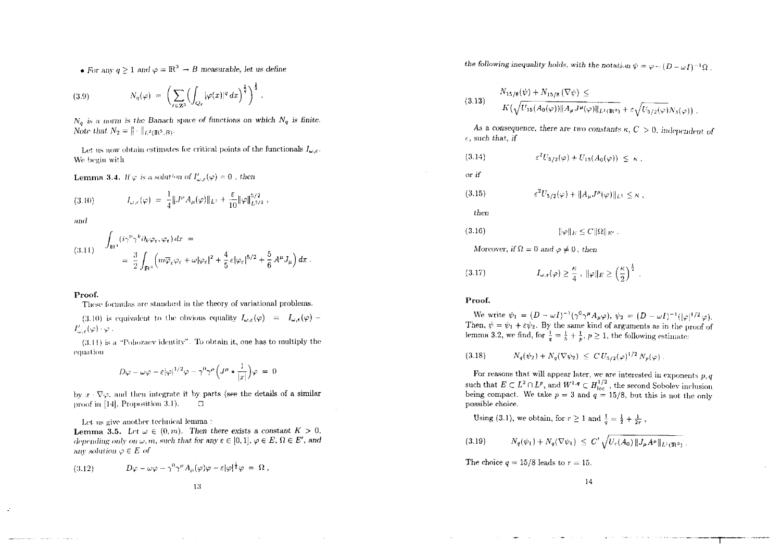• For any  $q \ge 1$  and  $\varphi = \mathbb{R}^3 \to B$  measurable, let us define

(3.9) 
$$
N_q(\varphi) \; = \; \left( \sum_{\ell \in \mathbf{Z}^3} \Big( \int_{Q_{\ell}} |\varphi(x)|^q \, dx \Big)^{\frac{2}{q}} \right)^{\frac{1}{2}} \, .
$$

 $N_q$  is a norm is the Banach space of functions on which  $N_q$  is finite. Note that  $N_2 = || \cdot ||_{L^2(\mathbb{R}^3, B)}$ .

Let us now obtain estimates for critical points of the functionals  $I_{\omega,\varepsilon}$ . We begin with

**Lemma 3.4.** If  $\varphi$  is a solution of  $I'_{\omega,\varepsilon}(\varphi) \approx 0$ , then

$$
(3.10) \t I_{\omega,\varepsilon}(\varphi) = \frac{1}{4} ||J^{\mu}A_{\mu}(\varphi)||_{L^{1}} + \frac{\varepsilon}{10} ||\varphi||_{L^{5/2}}^{5/2},
$$

and

$$
(3.11) \qquad \int_{\mathbb{R}^3} (i\gamma^6 \gamma^k \partial_k \varphi_{\varepsilon}, \varphi_{\varepsilon}) dx =
$$
  
= 
$$
\frac{3}{2} \int_{\mathbb{R}^3} \left( m \overline{\varphi}_{\varepsilon} \varphi_{\varepsilon} + \omega |\varphi_{\varepsilon}|^2 + \frac{4}{5} \varepsilon |\varphi_{\varepsilon}|^{5/2} + \frac{5}{6} A^{\mu} J_{\mu} \right) dx.
$$

#### Proof.

т.

These formulas are standard in the theory of variational problems.

(3.10) is equivalent to the obvious equality  $I_{\omega,\varepsilon}(\varphi) = I_{\omega,\varepsilon}(\varphi)$ .  $I'_{\omega,\varepsilon}(\varphi)\cdot\varphi$  .

 $(3.11)$  is a "Pohozaev identity". To obtain it, one has to multiply the conation

$$
D\varphi - \omega\varphi - \varepsilon |\varphi|^{1/2}\varphi - \gamma^0\gamma^\mu \Big( J^\mu * \frac{1}{|x|} \Big) \varphi = 0
$$

by  $x \cdot \nabla \varphi$ , and then integrate it by parts (see the details of a similar proof in [14], Proposition 3.1).  $\Box$ 

Let us give another technical lemma :

**Lemma 3.5.** Let  $\omega \in (0, m)$ . Then there exists a constant  $K > 0$ , depending only on  $\omega, m$ , such that for any  $\varepsilon \in [0,1]$ ,  $\varphi \in E$ ,  $\Omega \in E'$ , and any solution  $\varphi \in E$  of

(3.12) 
$$
D\varphi - \omega\varphi - \gamma^0\gamma^\mu A_\mu(\varphi)\varphi - \varepsilon|\varphi|^{\frac{1}{2}}\varphi = \Omega,
$$

and the contract of the contract of

 $\sim 1000$  km s  $^{-1}$ 

 $\sim 10^7$ 

the following inequality holds, with the notation  $\psi = \varphi - (D - \omega I)^{-1} \Omega$ 

$$
(3.13) \qquad \frac{N_{15/8}(\psi) + N_{15/8}(\nabla \psi) \leq}{K(\sqrt{U_{15}(A_0(\varphi))\|A_\mu J^\mu(\varphi)\|_{L^1(\mathbb{R}^3)}} + \varepsilon \sqrt{U_{5/2}(\varphi)} N_3(\varphi))}
$$

As a consequence, there are two constants  $\kappa$ ,  $C > 0$ , independent of  $\varepsilon$ , such that, if

(3.14)  
\n
$$
\varepsilon^{2}U_{5/2}(\varphi) + U_{15}(A_{0}(\varphi)) \leq \kappa ,
$$
\nor if  
\n(3.15)  
\n
$$
\varepsilon^{2}U_{5/2}(\varphi) + ||A_{\mu}J^{\mu}(\varphi)||_{L^{1}} \leq \kappa ,
$$
\nthen  
\n(3.16)  
\n
$$
||\varphi||_{E} \leq C ||\Omega||_{E'}.
$$
\nMoreover, if  $\Omega = 0$  and  $\varphi \neq 0$ , then

(3.17) 
$$
I_{\omega,\epsilon}(\varphi) \geq \frac{\kappa}{4}, \ \|\varphi\|_{E} \geq \left(\frac{\kappa}{2}\right)^{\frac{1}{2}}.
$$

## Proof.

We write  $\psi_1 = (D - \omega I)^{-1} (\gamma^0 \gamma^\mu A_\mu \varphi), \psi_2 = (D - \omega I)^{-1} (|\varphi|^{1/2} \varphi)$ .<br>Then,  $\psi = \psi_1 + \varepsilon \psi_2$ . By the same kind of arguments as in the proof of lemma 3.2, we find, for  $\frac{1}{4} = \frac{1}{5} + \frac{1}{p}$ ,  $p \ge 1$ , the following

$$
(3.18) \t\t N_q(\psi_2) + N_q(\nabla \psi_2) \leq C U_{5/2}(\varphi)^{1/2} N_p(\varphi) .
$$

For reasons that will appear later, we are interested in exponents  $p, q$ such that  $E \subset L^2 \cap L^p$ , and  $W^{1,q} \subset H_{loc}^{1/2}$ , the second Sobolev inclusion<br>being compact. We take  $p = 3$  and  $q = 15/8$ , but this is not the only possible choice.

Using (3.1), we obtain, for  $r \ge 1$  and  $\frac{1}{q} = \frac{1}{2} + \frac{1}{2r}$ ,

$$
(3.19) \t N_q(\psi_1) + N_q(\nabla \psi_1) \leq C' \sqrt{U_r(A_0) \left\| J_\mu A^\mu \right\|_{L^1(\mathbb{R}^3)}}.
$$

والمتحدث المستحدث

The choice  $q = 15/8$  leads to  $r = 15$ .

**September 1989** 

14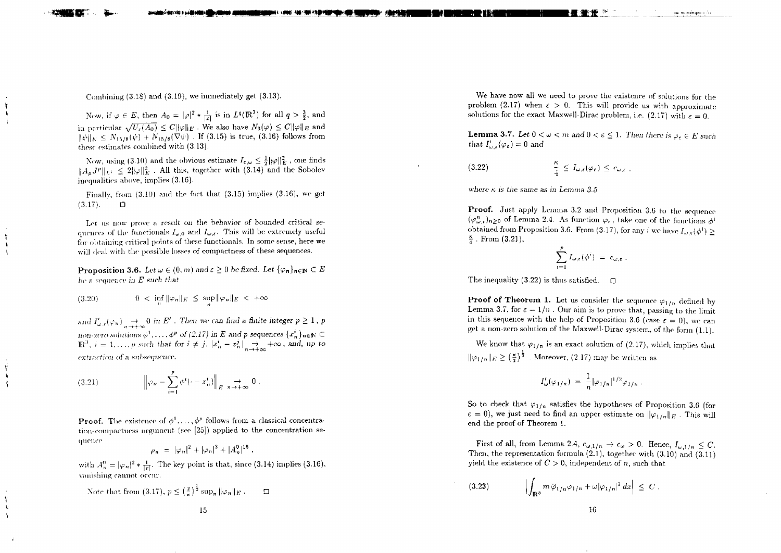Combining (3.18) and (3.10), we immediately get (3.13).

 $\mathbf{v}$ 

 $\Lambda$ 

Now, if  $\varphi \in E$ , then  $A_0 = |\varphi|^2 * \frac{1}{|x|}$  is in  $L^q(\mathbb{R}^3)$  for all  $q > \frac{3}{2}$ , and in particular  $\sqrt{U_r(A_0)} \leq C\|\varphi\|_E$ . We also have  $N_3(\varphi) \leq C\|\varphi\|_E$  and  $||\psi||_E \le N_{15/8}(\psi) + N_{15/8}(\nabla \psi)$  . If (3.15) is true, (3.16) follows from these estimates combined with (3,13).

Now, using (3.10) and the obvious estimate  $I_{\varepsilon,\omega} \leq \frac{1}{2} ||\varphi||^2_E$ , one finds  $||A_{ij}J^{\mu}||_{L^1} \leq 2||\varphi||_F^2$ . All this, together with (3.14) and the Sobolev inequalities above, implies (3.16).

Finally, from  $(3.10)$  and the fact that  $(3.15)$  implies  $(3.16)$ , we get (3.17). D

Let us now prove a result on the behavior of bounded critical sequences of the functionals  $I_{\omega,0}$  and  $I_{\omega,\epsilon}$ . This will be extremely useful for obtaining critical points of these funetionals. In some sense, here we will deal with the possible losses of compactness of these sequences.

**Proposition 3.6.** Let  $\omega \in (0, m)$  and  $\varepsilon \geq 0$  be fixed. Let  $\{\varphi_n\}_{n \in \mathbb{N}} \subset E$ *he a sequence in E such that* 

$$
(3.20) \t\t 0 < \inf_{m} \|\varphi_n\|_E \le \sup_{m} \|\varphi_n\|_E < +\infty
$$

and  $I'_{\omega,\varepsilon}(\varphi_n) \to 0$  in  $E'$ . Then we can find a finite integer  $p \geq 1$ , p  $p$ <sup>1</sup>,..., $\phi^p$  of (2.17) in  $E$  and  $p$  sequences  $\{x_n^i\}_{n\in\mathbb{N}}\in\mathbb{N}$  $\mathbb{R}^3$ ,  $i = 1, ..., p$  such that for  $i \neq j$ ,  $|x_n^i - x_n^j| \rightarrow \infty$ , and, up to *extraction* of a *siil>sequencr.*

(3.21) 
$$
\left\|\varphi_n - \sum_{i=1}^p \phi^i(\cdot - x_n^i)\right\|_{E} \underset{n \to +\infty}{\to} 0.
$$

**Proof.** The existence of  $\phi^1, \ldots, \phi^p$  follows from a classical concentration-compactness argument (see [25]) applied to the concentration sequence

$$
\rho_n = |\varphi_n|^2 + |\varphi_n|^3 + |A_n^0|^{15},
$$

with  $A_n^0 = |\varphi_n|^2 * \frac{1}{|F|}$ . The key point is that, since (3.14) implies (3.16), vanishing cannot occur.

Note that from (3.17), 
$$
p \leq (\frac{2}{\kappa})^{\frac{1}{2}} \sup_n ||\varphi_n||_E
$$
.  $\Box$ 

We have now all we need to prove the existence of solutions for the problem (2.17) when  $\varepsilon > 0$ . This will provide us with approximate solutions for the exact Maxwell-Dirac problem, i.e.  $(2.17)$  with  $\varepsilon = 0$ .

**Lemma 3.7.** Let  $0 < \omega < m$  and  $0 < \varepsilon \leq 1$ . Then there is  $\varphi_{\varepsilon} \in E$  such *that*  $I'_{\omega,\epsilon}(\varphi_{\epsilon}) = 0$  and

(3.22)  $\frac{1}{4} \leq I_{\omega,\epsilon}(\varphi_{\epsilon}) \leq c_{\omega,\epsilon}$ ,

where  $\kappa$  is the same as in Lemma 3.5.

**Proof.** Just apply Lemma 3,2 and Proposition 3.6 to the sequence  $(\varphi_{\omega,\epsilon}^n)_{n>0}$  of Lemma 2.4. As function  $\varphi_{\epsilon}$ , take one of the functions  $\phi^i$ obtained from Proposition 3.6. From (3.17), for any *i* we have  $I_{\mu\nu}(\phi^i)$  $\frac{\kappa}{4}$ . From (3.21),

$$
\sum_{i=1}^p I_{\omega,\varepsilon}(\phi^i) \;=\; c_{\omega,\varepsilon} \;.
$$

The inequality (3.22) is thus satisfied.  $\Box$ 

**Proof of Theorem 1.** Let us consider the sequence  $\varphi_{1/n}$  defined by Lemma 3.7, for  $\epsilon = 1/n$ . Our aim is to prove that, passing to the limit in this sequence with the help of Proposition 3.6 (case  $\varepsilon = 0$ ), we can get a non-zero solution of the Maxwell-Dirac system, of the form  $(1.1)$ .

We know that  $\varphi_{1/n}$  is an exact solution of (2.17), which implies that  $\left|E\right| \geq \left(\frac{\kappa}{2}\right)^{\frac{1}{2}}$ . Moreover, (2.17) may be written as

$$
I'_{\omega}(\varphi_{1/n}) = \frac{1}{n} |\varphi_{1/n}|^{1/2} \varphi_{1/n}
$$

So to check that  $\varphi_{1/n}$  satisfies the hypotheses of Proposition 3.6 (for  $\varepsilon = 0$ , we just need to find an upper estimate on  $\|\varphi_{1/n}\|_E$ . This will end the proof of Theorem 1.

First of all, from Lemma 2.4,  $c_{\omega,1/n} \to c_{\omega} > 0$ . Hence,  $I_{\omega,1/n} \leq C$ . Then, the representation formula (2.1), together with (3.10) and (3.11) yield the existence of  $C > 0$ , independent of n, such that

$$
(3.23) \qquad \qquad \left| \int_{\mathbb{R}^3} m \, \overline{\varphi}_{1/n} \varphi_{1/n} + \omega |\varphi_{1/n}|^2 \, dx \right| \leq C \, .
$$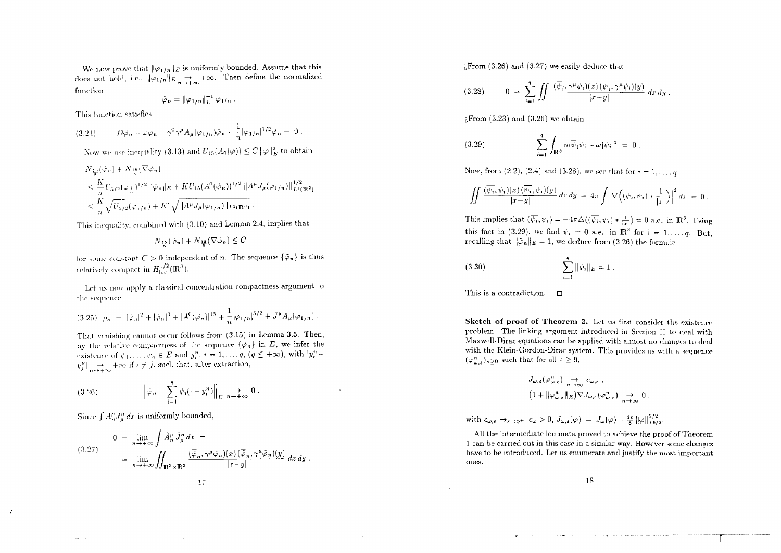We now prove that  $\|\varphi_{1/n}\|_E$  is uniformly bounded. Assume that this does not hold, i.e.,  $\|\varphi_{1/n}\|_{E_n} \to \infty$ . Then define the normalized function

$$
\tilde{\varphi}_n = \|\varphi_{1/n}\|_E^{-1} \varphi_{1/n}.
$$

This function satisfies

$$
(3.24) \tD\tilde{\varphi}_n - \omega \tilde{\varphi}_n - \gamma^0 \gamma^\mu A_\mu (\varphi_{1/n}) \tilde{\varphi}_n - \frac{1}{n} |\varphi_{1/n}|^{1/2} \tilde{\varphi}_n = 0.
$$

Now we use inequality (3.13) and  $U_1$ <sub>5</sub>( $A$ <sub>0</sub>( $\varphi$ ))  $\geq$   $\cup$   $||\varphi||_E$  to obtain

$$
\begin{split} &N_{\frac{15}{8}}(\hat{\varphi}_n)+N_{\frac{15}{8}}(\nabla \hat{\varphi}_n)\\ &\leq \frac{K}{n}U_{5/2}(\varphi_{\frac{1}{n}})^{1/2}\,\|\hat{\varphi}_n\|_E+KU_{15}(A^0(\hat{\varphi}_n))^{1/2}\,\|A^{\mu}J_{\mu}(\varphi_{1/n})\|_{L^1(\mathbb{R}^3)}^{1/2}\\ &\leq \frac{K}{n}\sqrt{U_{5/2}(\varphi_{1/n})}+K'\sqrt{\|A^{\mu}J_{\mu}(\varphi_{1/n})\|_{L^1(\mathbb{R}^3)}}\,. \end{split}
$$

This inequality, combined with (3.10) and Lemma 2.4, implies that

$$
N_{\frac{15}{2}}(\tilde{\varphi}_n) + N_{\frac{15}{2}}(\nabla \tilde{\varphi}_n) \leq C
$$

for some constant  $C > 0$  independent of n. The sequence  $\{\tilde{\varphi}_n\}$  is thus relatively compact in  $H^{1/2}_{\text{loc}}(\mathbb{R}^3)$ .

Let us now apply a classical concentration-compactness argument to the sequence

$$
(3.25) \quad \rho_n = |\hat{\varphi}_n|^2 + |\hat{\varphi}_n|^3 + |A^0(\hat{\varphi}_n)|^{15} + \frac{1}{n} |\varphi_{1/n}|^{5/2} + J^{\mu} A_{\mu}(\varphi_{1/n}).
$$

That vanishing cannot occur follows from [3.15) in Lemma 3.5. Then, by the relative compactness of the sequence  $\{\phi_n\}$  in E, we infer the existence of  $\psi_1, \ldots, \psi_q \in E$  and  $y_i^n, i = 1, \ldots, q, (q \leq +\infty)$ , with  $|y_i^n - \cdot|$  $\frac{n}{j}$   $\rightarrow$   $\rightarrow$   $+\infty$  if  $i \neq j$ , such that, after extraction,

(3.26) 
$$
\left\|\hat{\varphi}_n - \sum_{i=1}^q \psi_i(\cdot - y_i^n)\right\|_{E} \underset{n \to +\infty}{\to} 0.
$$

Since  $\int A''_n J''_n dx$  is uniformly bounded,

$$
(3.27)
$$
\n
$$
0 = \lim_{n \to +\infty} \int \tilde{A}_n^{\mu} \tilde{J}_\mu^n dx =
$$
\n
$$
= \lim_{n \to +\infty} \iint_{\mathbb{R}^3 \times \mathbb{R}^3} \frac{(\overline{\varphi}_n, \gamma^{\mu} \overline{\varphi}_n)(x) (\overline{\varphi}_n, \gamma^{\mu} \overline{\varphi}_n)(y)}{|x - y|} dx dy.
$$

17

 $\sim 10^{11}$  and

 $(3.26)$  and  $(3.27)$  we easily deduce that

(3.28) 
$$
0 = \sum_{i=1}^{q} \iint \frac{(\overline{\psi}_i, \gamma^{\mu} \psi_i)(x) (\overline{\psi}_i, \gamma^{\mu} \psi_i)(y)}{|x - y|} dx dy.
$$

 $;$  From  $(3.23)$  and  $(3.26)$  we obtain

(3.29) 
$$
\sum_{i=1}^{q} \int_{\mathbb{R}^3} m \overline{\psi}_i \psi_i + \omega |\psi_i|^2 = 0.
$$

Now, from (2.2), (2.4) and (3.28), we see that for  $i = 1, ..., a$ 

$$
\iint \frac{(\overline{\psi_i}, \psi_i)(x)(\overline{\psi_i}, \psi_i)(y)}{|x-y|} dx dy = 4\pi \int \left| \nabla \left( (\overline{\psi_i}, \psi_i) * \frac{1}{|x|} \right) \right|^2 dx = 0.
$$

This implies that  $(\overline{\psi_i}, \psi_i) = -4\pi \Delta((\overline{\psi_i}, \psi_i) * \frac{1}{|x|}) = 0$  a.e. in  $\mathbb{R}^3$ . Using this fact in (3.29), we find  $\psi_i = 0$  a.e. in  $\mathbb{R}^3$  for  $i = 1, \ldots, q$ . But, recalling that  $\|\hat{\varphi}_n\|_E = 1$ , we deduce from (3.26) the formula

(3.30) 
$$
\sum_{i=1}^{q} ||\psi_i||_E = 1.
$$

This is a contradiction.  $\Box$ 

**Sketch of proof of Theorem 2.** Let us first consider the existence problem. The linking argument introduced in Section II to deal with Maxwell-Dirac equations can be applied with almost no changes to deal with the Klein-Gordon-Dirac system. This provides us with a sequence  $(\varphi_{\omega,\varepsilon}^n)_{n>0}$  such that for all  $\varepsilon \geq 0$ ,

$$
\begin{array}{l} J_{\omega,\epsilon}(\varphi_{\omega,\epsilon}^n) \underset{n\rightarrow\infty}{\rightarrow} c_{\omega,\epsilon} \ , \\[2mm] \left(1+\|\varphi_{\omega,\epsilon}^n\|_E\right) \nabla J_{\omega,\epsilon}(\varphi_{\omega,\epsilon}^n) \underset{n\rightarrow\infty}{\rightarrow} 0 \ . \end{array}
$$

with  $c_{\omega,\epsilon} \to_{\epsilon \to 0^+} c_{\omega} > 0$ ,  $J_{\omega,\epsilon}(\varphi) = J_{\omega}(\varphi) - \frac{2\epsilon}{5} ||\varphi||_{L^{3/2}}^{5/2}$ 

All the intermediate lemmata proved to achieve the proof of Theorem 1 can be carried out in this case in a similar way. However some changes have to be introduced. Let us enumerate and justify the most important ones.

18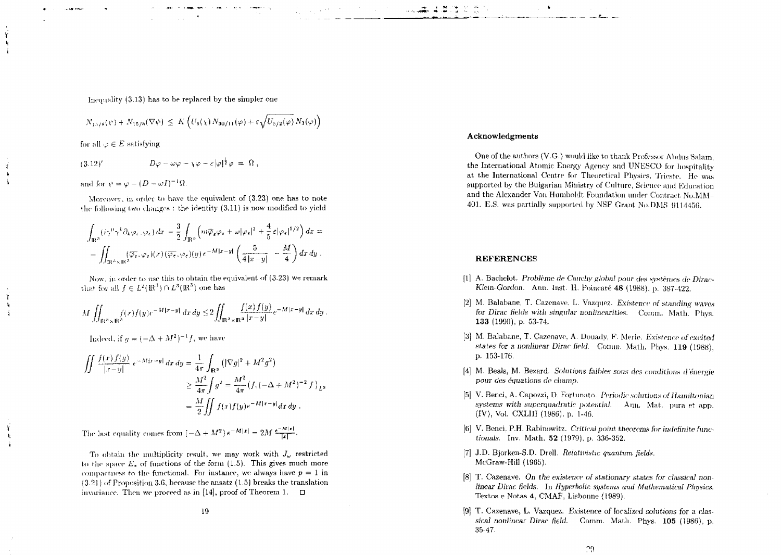Inequality (3.13) has to be replaced by the simpler one

$$
N_{15/8}(\psi) + N_{15/8}(\nabla \psi) \leq K \left( U_6(\chi) N_{30/11}(\varphi) + \varepsilon \sqrt{U_{5/2}(\varphi) N_3(\varphi)} \right)
$$

for all  $c \in E$  satisfying

 $\dot{\bf{Y}}$  $\mathbf{k}$ Ÿ.

$$
(3.12)'\qquad \qquad D\varphi - \omega\varphi - \chi\varphi - \varepsilon|\varphi|^{\frac{1}{2}}\varphi = \Omega\ ,
$$

and for  $\psi = \varphi - (D - \omega I)^{-1} \Omega$ .

Moreover, in order to have the equivalent of (3.23) one has to note the following two changes : the identity (3.11) is now modified to yield

$$
\int_{\mathbb{R}^3} (i\gamma^0 \gamma^k \partial_k \varphi_{\varepsilon}, \varphi_{\varepsilon}) dx = \frac{3}{2} \int_{\mathbb{R}^3} \left( m \widetilde{\varphi}_{\varepsilon} \varphi_{\varepsilon} + \omega |\varphi_{\varepsilon}|^2 + \frac{4}{5} \varepsilon |\varphi_{\varepsilon}|^{5/2} \right) dx =
$$
  
= 
$$
\iint_{\mathbb{R}^3 \times \mathbb{R}^3} (\widetilde{\varphi}_{\varepsilon}, \varphi_{\varepsilon})(x) (\widetilde{\varphi}_{\varepsilon}, \varphi_{\varepsilon})(y) e^{-M|x-y|} \left( \frac{5}{4|x-y|} - \frac{M}{4} \right) dx dy.
$$

Now, in order to use this to obtain the equivalent of (3.23) we remark that for all  $f \in L^2(\mathbb{R}^3) \cap L^3(\mathbb{R}^3)$  one has

$$
M\iint_{\mathbb{R}^3\times\mathbb{R}^3} f(x)f(y)e^{-M\|x-y\|} dx dy \leq 2\iint_{\mathbb{R}^3\times\mathbb{R}^3} \frac{f(x)f(y)}{|x-y|} e^{-M\|x-y\|} dx dy.
$$

Indeed, if  $g = (-\Delta + M^2)^{-1} f$ , we have

$$
\iint \frac{f(x) f(y)}{|x - y|} e^{-M|x - y|} dx dy = \frac{1}{4\pi} \int_{\mathbb{R}^3} (|\nabla g|^2 + M^2 g^2)
$$
  

$$
\geq \frac{M^2}{4\pi} \int g^2 = \frac{M^2}{4\pi} (f.(-\Delta + M^2)^{-2} f)_L
$$
  

$$
= \frac{M}{2} \iint f(x) f(y) e^{-M|x - y|} dx dy.
$$

The last equality comes from  $(-\Delta + M^2) e^{-M|x|} = 2M \frac{e^{-M|x|}}{|x|}$ .

To obtain the multiplicity result, we may work with  $J_{\omega}$  restricted to the space  $E<sub>z</sub>$  of functions of the form (1.5). This gives much more compactness to the functional. For instance, we always have  $p = 1$  in (3.21) of Proposition 3.G, because the ansatz (1.5) breaks the translation invariance. Then we proceed as in [14], proof of Theorem 1.  $\square$ 

#### Acknowledgme nts

One of the authors (V.G.) would like to thank Professor Abdus Salam, the International Atomic Energy Agency and UNESCO for hospitality at the International Centre for Theoretical Physics, Trieste. He was supported by the Bulgarian Ministry of Culture, Science and Education and the Alexander Von Humboldt Foundation under Contract No.MM-401. E.S. was partially supported by NSF Grant No.DMS 9114450.

## **REFERENCES**

- [1] A. Bachelot. Problème de Cauchy global pour des systèmes de Dirac-*Klein-Gordon.* Ann. Inst. H. Poincare 48 (1988), p. 387-422.
- [2] M. Balabane, T. Cazenave. L. Vazquez. *Existence of standing waves* for *Dime fields with singular nonlinenrities.* Comm. Math. Phys. **133** (1990), p. 53-74.
- [3] M. Balabane, T. Cazenavo, A. Douady, F. Merle. *Existence of excited* states for a nonlinear Dirac field. Comm. Math. Phys. 119 (1988), p. 153-176.
- [4] M. Beals, M. Bezard. *Solutions faibles* sons *des conditions d'mergie pour des equations dc chump.*
- [5] V. Benci, A. Capozzi, D. Fortunato. Periodic solutions of Hamiltonian systems with superquadratic potential. Ann. Mat. pura et app. (IV), Vol. CXLIII (1986). p. 1-46.
- [6] V. Benci. P.H. Rabinowitz. *Critical point theorems for indefinite funo tionals.* Inv. Math. 52 (1979). p. 336-352.
- [7] J.D. Bjorken-S.D. Drelt. *Relatimstic quantum fields.* McGraw-Hill (1965).
- [8] T. Cazenave. *On the existence of* stationary states *for classical nonlinear Dime fields.* In *Hyperbolic systems and Mathematical Physics.* Textos e Notas 4, CMAF, Lisbonne (1989).
- [9] T. Cazenave, L. Vazquez. Existence of localized solutions for a classicai *nonlinear Dime field.* Comm. Math. Phys. **105** (1986), p. 35-47.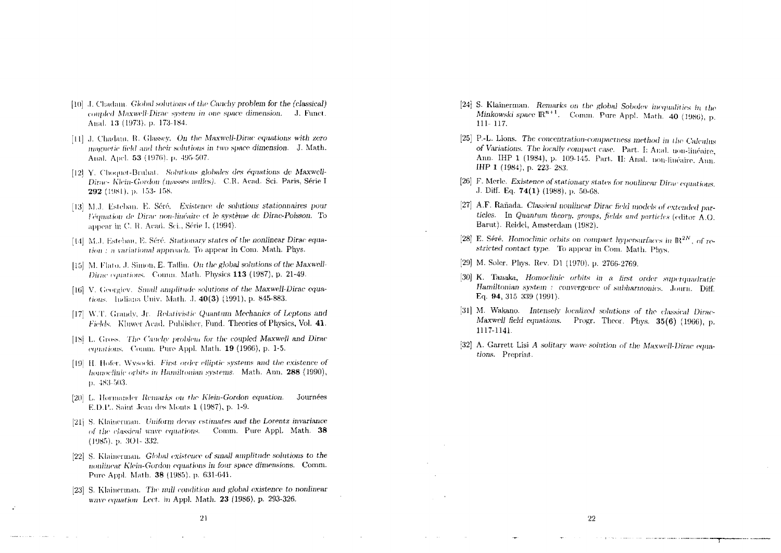- [10] J. Chadam, Global solutions of the Cauchy problem for the (classical) coupled Maxwell-Dirac system in one space dimension. J. Funct. Anal. 13 (1973), p. 173-184.
- [11] J. Chadam, R. Glassey. On the Maxwell-Dirac equations with zero magnetic field and their solutions in two space dimension. J. Math. Anal. Apcl. 53 (1976). p. 495-507.
- [12] Y. Choquet-Bruhat. Solutions globales des équations de Maxwell-Dirac- Klein-Gordon (masses nulles). C.R. Acad. Sci. Paris, Série l 292 (1981), p. 153-158.
- [13] M.J. Esteban, E. Séré, Existence de solutions stationnaires pour l'équation de Dirac non-linéaire et le système de Dirac-Poisson. To appear in C. R. Acad. Sci., Série I, (1994).
- [14] M.J. Esteban, E. Séré. Stationary states of the nonlinear Dirac equation : a variational approach. To appear in Com. Math. Phys.
- [15] M. Flato, J. Simon, E. Taffin. On the global solutions of the Maxwell-Dirac conations. Comm. Math. Physics 113 (1987), p. 21-49
- [16] V. Georgiev, Small amplitude solutions of the Maxwell-Dirac equations. Indiana Univ. Math. J. 40(3) (1991), p. 845-883.
- [17] W.T. Grandy, Jr. Relativistic Quantum Mechanics of Leptons and Fields. Kluwer Acad. Publisher. Fund. Theories of Physics, Vol. 41
- [18] L. Gross. The Cauchy problem for the coupled Maxwell and Dirac conations. Comm. Pure Appl. Math. 19 (1966), p. 1-5.
- [19] H. Hofer, Wysocki. First order elliptic systems and the existence of homoclinic orbits in Hamiltonian systems. Math. Ann. 288 (1990), D. 483-503.
- [20] L. Hormander Remarks on the Klein-Gordon equation. Journées E.D.P., Saint Jean des Monts 1 (1987), p. 1-9.
- [21] S. Klainerman. Uniform decay estimates and the Lorentz invariance of the classical wave equations. Comm. Pure Appl. Math. 38  $(1985), p. 301-332.$
- [22] S. Klainerman. Global existence of small amplitude solutions to the nonlinear Klein-Gordon equations in four space dimensions. Comm. Pure Appl. Math. 38 (1985), p. 631-641.
- [23] S. Klainerman. The mill condition and global existence to nonlinear wave conation. Lect. in Appl. Math. 23 (1986), p. 293-326.
- [24] S. Klainerman. Remarks on the global Sobolev inconsities in the Minkowski space  $\mathbb{R}^{n+1}$ . Comm. Pure Appl. Math. 40 (1986), p.  $111 - 117.$
- [25] P.-L. Lions. The concentration-compactness method in the Calculus of Variations. The locally compact case. Part. I: Anal. non-linéaire. Ann. IHP 1 (1984), p. 109-145. Part. II: Anal. non-linéaire. Ann. IHP 1 (1984), p. 223-283.
- [26] F. Merle. Existence of stationary states for nonlinear Dirac equations. J. Diff. Eq. 74(1) (1988), p. 50-68.
- [27] A.F. Rañada. Classical nonlinear Dirac field models of extended particles. In Quantum theory, groups, fields and particles (editor  $A.O$ Barut). Reidel. Amsterdam (1982).
- [28] E. Séré. Homoclinic orbits on compact hypersurfaces in  $\mathbb{R}^{2N}$ , of restricted contact type. To appear in Com. Math. Phys.
- [29] M. Soler, Phys. Rev. D1 (1970), p. 2766-2769.
- [30] K. Tanaka, Homoclinic orbits in a first order superquadratic Hamiltonian system: convergence of subharmonics. Journ. Diff. Eq. 94, 315 339 (1991).
- [31] M. Wakano. Intensely localized solutions of the classical Dirac-Maxwell field equations. Progr. Theor. Phys. 35(6) (1966), p. 1117-1141.
- [32] A. Garrett Lisi A solitary wave solution of the Maxwell-Dirac equations. Preprint.

21  $\sim$  100

22